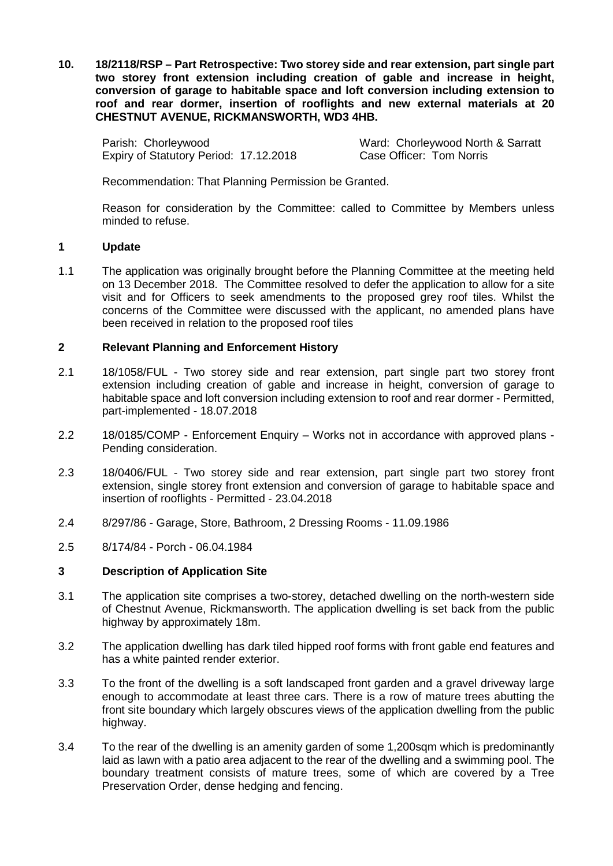**10. 18/2118/RSP – Part Retrospective: Two storey side and rear extension, part single part two storey front extension including creation of gable and increase in height, conversion of garage to habitable space and loft conversion including extension to roof and rear dormer, insertion of rooflights and new external materials at 20 CHESTNUT AVENUE, RICKMANSWORTH, WD3 4HB.**

Parish: Chorleywood<br>
Expiry of Statutory Period: 17.12.2018<br>
Case Officer: Tom Norris Expiry of Statutory Period: 17.12.2018

Recommendation: That Planning Permission be Granted.

Reason for consideration by the Committee: called to Committee by Members unless minded to refuse.

## **1 Update**

1.1 The application was originally brought before the Planning Committee at the meeting held on 13 December 2018. The Committee resolved to defer the application to allow for a site visit and for Officers to seek amendments to the proposed grey roof tiles. Whilst the concerns of the Committee were discussed with the applicant, no amended plans have been received in relation to the proposed roof tiles

## **2 Relevant Planning and Enforcement History**

- 2.1 18/1058/FUL Two storey side and rear extension, part single part two storey front extension including creation of gable and increase in height, conversion of garage to habitable space and loft conversion including extension to roof and rear dormer - Permitted, part-implemented - 18.07.2018
- 2.2 18/0185/COMP Enforcement Enquiry Works not in accordance with approved plans Pending consideration.
- 2.3 18/0406/FUL Two storey side and rear extension, part single part two storey front extension, single storey front extension and conversion of garage to habitable space and insertion of rooflights - Permitted - 23.04.2018
- 2.4 8/297/86 Garage, Store, Bathroom, 2 Dressing Rooms 11.09.1986
- 2.5 8/174/84 Porch 06.04.1984

## **3 Description of Application Site**

- 3.1 The application site comprises a two-storey, detached dwelling on the north-western side of Chestnut Avenue, Rickmansworth. The application dwelling is set back from the public highway by approximately 18m.
- 3.2 The application dwelling has dark tiled hipped roof forms with front gable end features and has a white painted render exterior.
- 3.3 To the front of the dwelling is a soft landscaped front garden and a gravel driveway large enough to accommodate at least three cars. There is a row of mature trees abutting the front site boundary which largely obscures views of the application dwelling from the public highway.
- 3.4 To the rear of the dwelling is an amenity garden of some 1,200sqm which is predominantly laid as lawn with a patio area adjacent to the rear of the dwelling and a swimming pool. The boundary treatment consists of mature trees, some of which are covered by a Tree Preservation Order, dense hedging and fencing.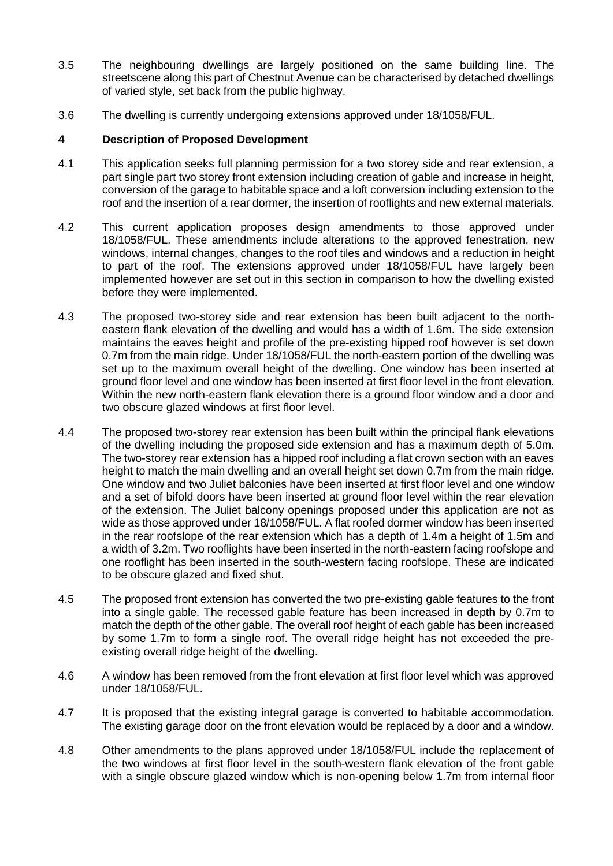- 3.5 The neighbouring dwellings are largely positioned on the same building line. The streetscene along this part of Chestnut Avenue can be characterised by detached dwellings of varied style, set back from the public highway.
- 3.6 The dwelling is currently undergoing extensions approved under 18/1058/FUL.

# **4 Description of Proposed Development**

- 4.1 This application seeks full planning permission for a two storey side and rear extension, a part single part two storey front extension including creation of gable and increase in height, conversion of the garage to habitable space and a loft conversion including extension to the roof and the insertion of a rear dormer, the insertion of rooflights and new external materials.
- 4.2 This current application proposes design amendments to those approved under 18/1058/FUL. These amendments include alterations to the approved fenestration, new windows, internal changes, changes to the roof tiles and windows and a reduction in height to part of the roof. The extensions approved under 18/1058/FUL have largely been implemented however are set out in this section in comparison to how the dwelling existed before they were implemented.
- 4.3 The proposed two-storey side and rear extension has been built adjacent to the northeastern flank elevation of the dwelling and would has a width of 1.6m. The side extension maintains the eaves height and profile of the pre-existing hipped roof however is set down 0.7m from the main ridge. Under 18/1058/FUL the north-eastern portion of the dwelling was set up to the maximum overall height of the dwelling. One window has been inserted at ground floor level and one window has been inserted at first floor level in the front elevation. Within the new north-eastern flank elevation there is a ground floor window and a door and two obscure glazed windows at first floor level.
- 4.4 The proposed two-storey rear extension has been built within the principal flank elevations of the dwelling including the proposed side extension and has a maximum depth of 5.0m. The two-storey rear extension has a hipped roof including a flat crown section with an eaves height to match the main dwelling and an overall height set down 0.7m from the main ridge. One window and two Juliet balconies have been inserted at first floor level and one window and a set of bifold doors have been inserted at ground floor level within the rear elevation of the extension. The Juliet balcony openings proposed under this application are not as wide as those approved under 18/1058/FUL. A flat roofed dormer window has been inserted in the rear roofslope of the rear extension which has a depth of 1.4m a height of 1.5m and a width of 3.2m. Two rooflights have been inserted in the north-eastern facing roofslope and one rooflight has been inserted in the south-western facing roofslope. These are indicated to be obscure glazed and fixed shut.
- 4.5 The proposed front extension has converted the two pre-existing gable features to the front into a single gable. The recessed gable feature has been increased in depth by 0.7m to match the depth of the other gable. The overall roof height of each gable has been increased by some 1.7m to form a single roof. The overall ridge height has not exceeded the preexisting overall ridge height of the dwelling.
- 4.6 A window has been removed from the front elevation at first floor level which was approved under 18/1058/FUL.
- 4.7 It is proposed that the existing integral garage is converted to habitable accommodation. The existing garage door on the front elevation would be replaced by a door and a window.
- 4.8 Other amendments to the plans approved under 18/1058/FUL include the replacement of the two windows at first floor level in the south-western flank elevation of the front gable with a single obscure glazed window which is non-opening below 1.7m from internal floor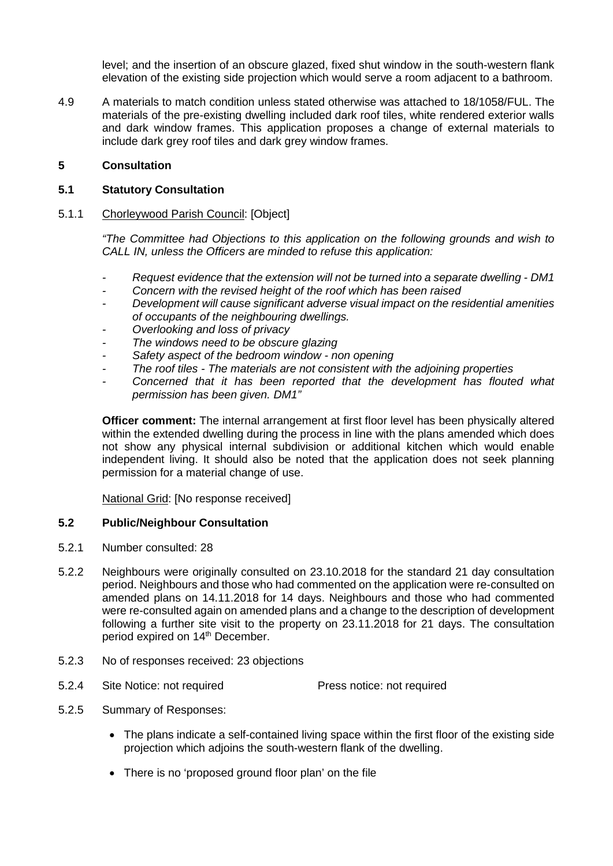level; and the insertion of an obscure glazed, fixed shut window in the south-western flank elevation of the existing side projection which would serve a room adjacent to a bathroom.

4.9 A materials to match condition unless stated otherwise was attached to 18/1058/FUL. The materials of the pre-existing dwelling included dark roof tiles, white rendered exterior walls and dark window frames. This application proposes a change of external materials to include dark grey roof tiles and dark grey window frames.

## **5 Consultation**

## **5.1 Statutory Consultation**

#### 5.1.1 Chorleywood Parish Council: [Object]

*"The Committee had Objections to this application on the following grounds and wish to CALL IN, unless the Officers are minded to refuse this application:*

- *- Request evidence that the extension will not be turned into a separate dwelling - DM1*
- *- Concern with the revised height of the roof which has been raised*
- *- Development will cause significant adverse visual impact on the residential amenities of occupants of the neighbouring dwellings.*
- *- Overlooking and loss of privacy*
- *- The windows need to be obscure glazing*
- *- Safety aspect of the bedroom window - non opening*
- *- The roof tiles - The materials are not consistent with the adjoining properties*
- Concerned that it has been reported that the development has flouted what *permission has been given. DM1"*

**Officer comment:** The internal arrangement at first floor level has been physically altered within the extended dwelling during the process in line with the plans amended which does not show any physical internal subdivision or additional kitchen which would enable independent living. It should also be noted that the application does not seek planning permission for a material change of use.

National Grid: [No response received]

#### **5.2 Public/Neighbour Consultation**

- 5.2.1 Number consulted: 28
- 5.2.2 Neighbours were originally consulted on 23.10.2018 for the standard 21 day consultation period. Neighbours and those who had commented on the application were re-consulted on amended plans on 14.11.2018 for 14 days. Neighbours and those who had commented were re-consulted again on amended plans and a change to the description of development following a further site visit to the property on 23.11.2018 for 21 days. The consultation period expired on 14<sup>th</sup> December.
- 5.2.3 No of responses received: 23 objections
- 5.2.4 Site Notice: not required Press notice: not required
- 5.2.5 Summary of Responses:
	- The plans indicate a self-contained living space within the first floor of the existing side projection which adjoins the south-western flank of the dwelling.
	- There is no 'proposed ground floor plan' on the file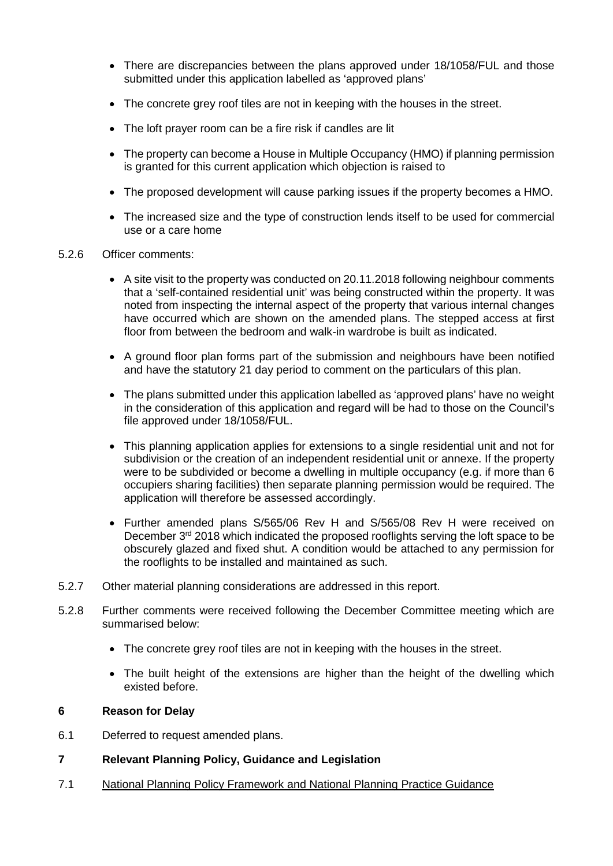- There are discrepancies between the plans approved under 18/1058/FUL and those submitted under this application labelled as 'approved plans'
- The concrete grey roof tiles are not in keeping with the houses in the street.
- The loft prayer room can be a fire risk if candles are lit
- The property can become a House in Multiple Occupancy (HMO) if planning permission is granted for this current application which objection is raised to
- The proposed development will cause parking issues if the property becomes a HMO.
- The increased size and the type of construction lends itself to be used for commercial use or a care home
- 5.2.6 Officer comments:
	- A site visit to the property was conducted on 20.11.2018 following neighbour comments that a 'self-contained residential unit' was being constructed within the property. It was noted from inspecting the internal aspect of the property that various internal changes have occurred which are shown on the amended plans. The stepped access at first floor from between the bedroom and walk-in wardrobe is built as indicated.
	- A ground floor plan forms part of the submission and neighbours have been notified and have the statutory 21 day period to comment on the particulars of this plan.
	- The plans submitted under this application labelled as 'approved plans' have no weight in the consideration of this application and regard will be had to those on the Council's file approved under 18/1058/FUL.
	- This planning application applies for extensions to a single residential unit and not for subdivision or the creation of an independent residential unit or annexe. If the property were to be subdivided or become a dwelling in multiple occupancy (e.g. if more than 6 occupiers sharing facilities) then separate planning permission would be required. The application will therefore be assessed accordingly.
	- Further amended plans S/565/06 Rev H and S/565/08 Rev H were received on December 3<sup>rd</sup> 2018 which indicated the proposed rooflights serving the loft space to be obscurely glazed and fixed shut. A condition would be attached to any permission for the rooflights to be installed and maintained as such.
- 5.2.7 Other material planning considerations are addressed in this report.
- 5.2.8 Further comments were received following the December Committee meeting which are summarised below:
	- The concrete grey roof tiles are not in keeping with the houses in the street.
	- The built height of the extensions are higher than the height of the dwelling which existed before.

#### **6 Reason for Delay**

- 6.1 Deferred to request amended plans.
- **7 Relevant Planning Policy, Guidance and Legislation**
- 7.1 National Planning Policy Framework and National Planning Practice Guidance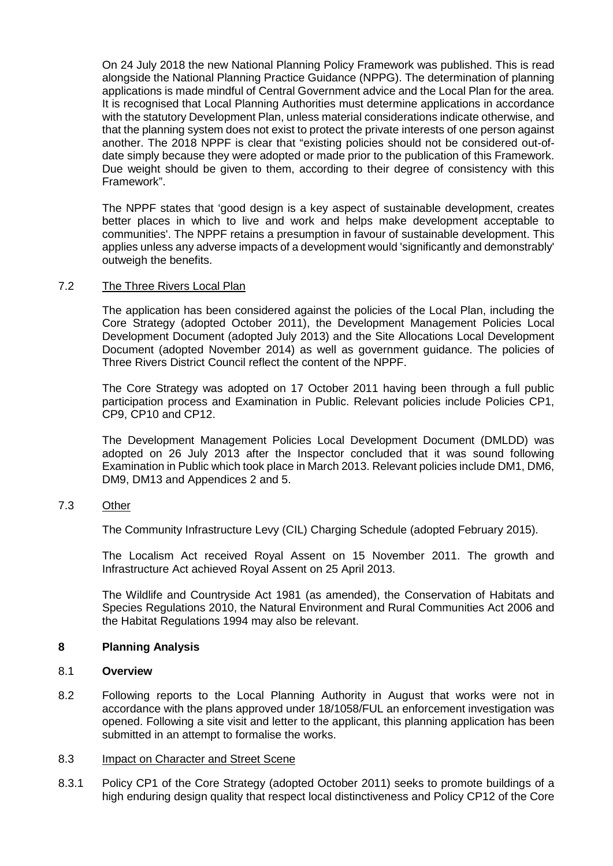On 24 July 2018 the new National Planning Policy Framework was published. This is read alongside the National Planning Practice Guidance (NPPG). The determination of planning applications is made mindful of Central Government advice and the Local Plan for the area. It is recognised that Local Planning Authorities must determine applications in accordance with the statutory Development Plan, unless material considerations indicate otherwise, and that the planning system does not exist to protect the private interests of one person against another. The 2018 NPPF is clear that "existing policies should not be considered out-ofdate simply because they were adopted or made prior to the publication of this Framework. Due weight should be given to them, according to their degree of consistency with this Framework".

The NPPF states that 'good design is a key aspect of sustainable development, creates better places in which to live and work and helps make development acceptable to communities'. The NPPF retains a presumption in favour of sustainable development. This applies unless any adverse impacts of a development would 'significantly and demonstrably' outweigh the benefits.

## 7.2 The Three Rivers Local Plan

The application has been considered against the policies of the Local Plan, including the Core Strategy (adopted October 2011), the Development Management Policies Local Development Document (adopted July 2013) and the Site Allocations Local Development Document (adopted November 2014) as well as government guidance. The policies of Three Rivers District Council reflect the content of the NPPF.

The Core Strategy was adopted on 17 October 2011 having been through a full public participation process and Examination in Public. Relevant policies include Policies CP1, CP9, CP10 and CP12.

The Development Management Policies Local Development Document (DMLDD) was adopted on 26 July 2013 after the Inspector concluded that it was sound following Examination in Public which took place in March 2013. Relevant policies include DM1, DM6, DM9, DM13 and Appendices 2 and 5.

#### 7.3 Other

The Community Infrastructure Levy (CIL) Charging Schedule (adopted February 2015).

The Localism Act received Royal Assent on 15 November 2011. The growth and Infrastructure Act achieved Royal Assent on 25 April 2013.

The Wildlife and Countryside Act 1981 (as amended), the Conservation of Habitats and Species Regulations 2010, the Natural Environment and Rural Communities Act 2006 and the Habitat Regulations 1994 may also be relevant.

#### **8 Planning Analysis**

#### 8.1 **Overview**

8.2 Following reports to the Local Planning Authority in August that works were not in accordance with the plans approved under 18/1058/FUL an enforcement investigation was opened. Following a site visit and letter to the applicant, this planning application has been submitted in an attempt to formalise the works.

#### 8.3 Impact on Character and Street Scene

8.3.1 Policy CP1 of the Core Strategy (adopted October 2011) seeks to promote buildings of a high enduring design quality that respect local distinctiveness and Policy CP12 of the Core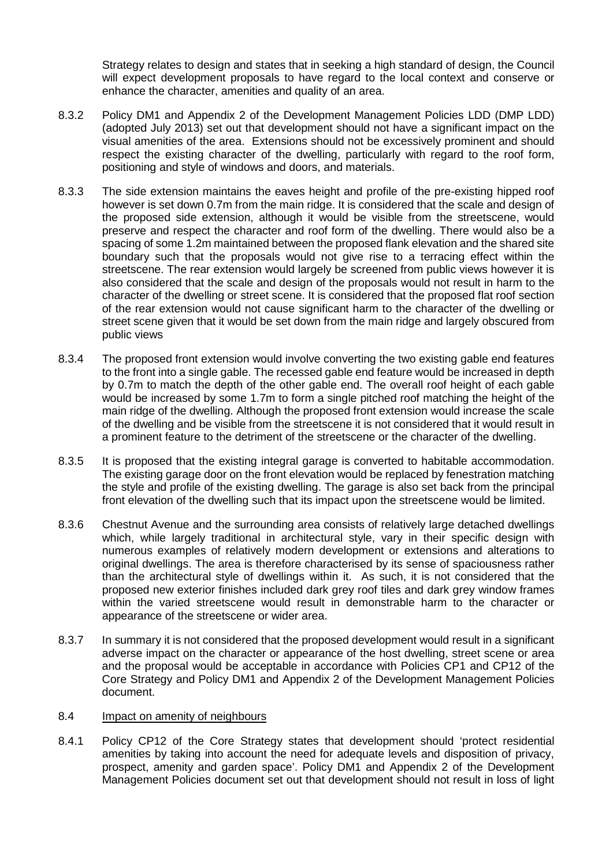Strategy relates to design and states that in seeking a high standard of design, the Council will expect development proposals to have regard to the local context and conserve or enhance the character, amenities and quality of an area.

- 8.3.2 Policy DM1 and Appendix 2 of the Development Management Policies LDD (DMP LDD) (adopted July 2013) set out that development should not have a significant impact on the visual amenities of the area. Extensions should not be excessively prominent and should respect the existing character of the dwelling, particularly with regard to the roof form, positioning and style of windows and doors, and materials.
- 8.3.3 The side extension maintains the eaves height and profile of the pre-existing hipped roof however is set down 0.7m from the main ridge. It is considered that the scale and design of the proposed side extension, although it would be visible from the streetscene, would preserve and respect the character and roof form of the dwelling. There would also be a spacing of some 1.2m maintained between the proposed flank elevation and the shared site boundary such that the proposals would not give rise to a terracing effect within the streetscene. The rear extension would largely be screened from public views however it is also considered that the scale and design of the proposals would not result in harm to the character of the dwelling or street scene. It is considered that the proposed flat roof section of the rear extension would not cause significant harm to the character of the dwelling or street scene given that it would be set down from the main ridge and largely obscured from public views
- 8.3.4 The proposed front extension would involve converting the two existing gable end features to the front into a single gable. The recessed gable end feature would be increased in depth by 0.7m to match the depth of the other gable end. The overall roof height of each gable would be increased by some 1.7m to form a single pitched roof matching the height of the main ridge of the dwelling. Although the proposed front extension would increase the scale of the dwelling and be visible from the streetscene it is not considered that it would result in a prominent feature to the detriment of the streetscene or the character of the dwelling.
- 8.3.5 It is proposed that the existing integral garage is converted to habitable accommodation. The existing garage door on the front elevation would be replaced by fenestration matching the style and profile of the existing dwelling. The garage is also set back from the principal front elevation of the dwelling such that its impact upon the streetscene would be limited.
- 8.3.6 Chestnut Avenue and the surrounding area consists of relatively large detached dwellings which, while largely traditional in architectural style, vary in their specific design with numerous examples of relatively modern development or extensions and alterations to original dwellings. The area is therefore characterised by its sense of spaciousness rather than the architectural style of dwellings within it. As such, it is not considered that the proposed new exterior finishes included dark grey roof tiles and dark grey window frames within the varied streetscene would result in demonstrable harm to the character or appearance of the streetscene or wider area.
- 8.3.7 In summary it is not considered that the proposed development would result in a significant adverse impact on the character or appearance of the host dwelling, street scene or area and the proposal would be acceptable in accordance with Policies CP1 and CP12 of the Core Strategy and Policy DM1 and Appendix 2 of the Development Management Policies document.

#### 8.4 Impact on amenity of neighbours

8.4.1 Policy CP12 of the Core Strategy states that development should 'protect residential amenities by taking into account the need for adequate levels and disposition of privacy, prospect, amenity and garden space'. Policy DM1 and Appendix 2 of the Development Management Policies document set out that development should not result in loss of light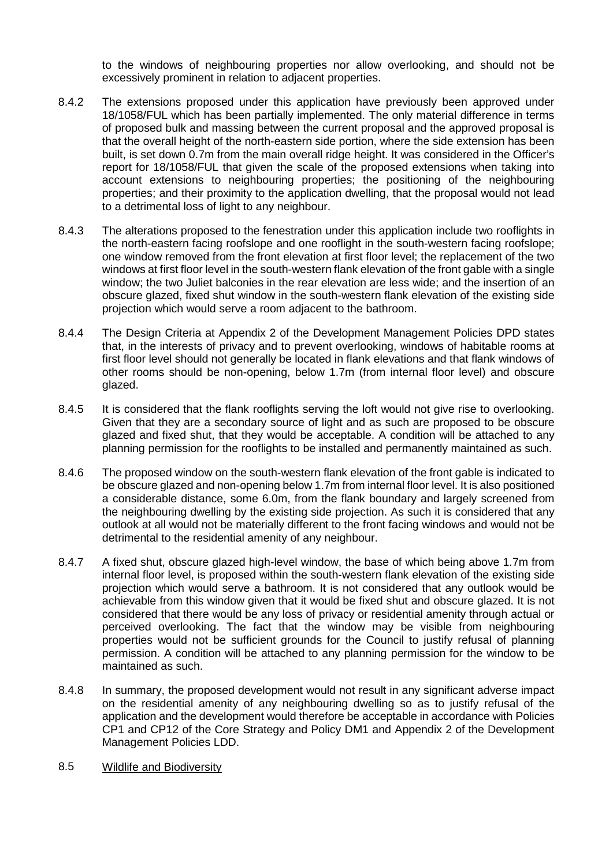to the windows of neighbouring properties nor allow overlooking, and should not be excessively prominent in relation to adjacent properties.

- 8.4.2 The extensions proposed under this application have previously been approved under 18/1058/FUL which has been partially implemented. The only material difference in terms of proposed bulk and massing between the current proposal and the approved proposal is that the overall height of the north-eastern side portion, where the side extension has been built, is set down 0.7m from the main overall ridge height. It was considered in the Officer's report for 18/1058/FUL that given the scale of the proposed extensions when taking into account extensions to neighbouring properties; the positioning of the neighbouring properties; and their proximity to the application dwelling, that the proposal would not lead to a detrimental loss of light to any neighbour.
- 8.4.3 The alterations proposed to the fenestration under this application include two rooflights in the north-eastern facing roofslope and one rooflight in the south-western facing roofslope; one window removed from the front elevation at first floor level; the replacement of the two windows at first floor level in the south-western flank elevation of the front gable with a single window; the two Juliet balconies in the rear elevation are less wide; and the insertion of an obscure glazed, fixed shut window in the south-western flank elevation of the existing side projection which would serve a room adjacent to the bathroom.
- 8.4.4 The Design Criteria at Appendix 2 of the Development Management Policies DPD states that, in the interests of privacy and to prevent overlooking, windows of habitable rooms at first floor level should not generally be located in flank elevations and that flank windows of other rooms should be non-opening, below 1.7m (from internal floor level) and obscure glazed.
- 8.4.5 It is considered that the flank rooflights serving the loft would not give rise to overlooking. Given that they are a secondary source of light and as such are proposed to be obscure glazed and fixed shut, that they would be acceptable. A condition will be attached to any planning permission for the rooflights to be installed and permanently maintained as such.
- 8.4.6 The proposed window on the south-western flank elevation of the front gable is indicated to be obscure glazed and non-opening below 1.7m from internal floor level. It is also positioned a considerable distance, some 6.0m, from the flank boundary and largely screened from the neighbouring dwelling by the existing side projection. As such it is considered that any outlook at all would not be materially different to the front facing windows and would not be detrimental to the residential amenity of any neighbour.
- 8.4.7 A fixed shut, obscure glazed high-level window, the base of which being above 1.7m from internal floor level, is proposed within the south-western flank elevation of the existing side projection which would serve a bathroom. It is not considered that any outlook would be achievable from this window given that it would be fixed shut and obscure glazed. It is not considered that there would be any loss of privacy or residential amenity through actual or perceived overlooking. The fact that the window may be visible from neighbouring properties would not be sufficient grounds for the Council to justify refusal of planning permission. A condition will be attached to any planning permission for the window to be maintained as such.
- 8.4.8 In summary, the proposed development would not result in any significant adverse impact on the residential amenity of any neighbouring dwelling so as to justify refusal of the application and the development would therefore be acceptable in accordance with Policies CP1 and CP12 of the Core Strategy and Policy DM1 and Appendix 2 of the Development Management Policies LDD.
- 8.5 Wildlife and Biodiversity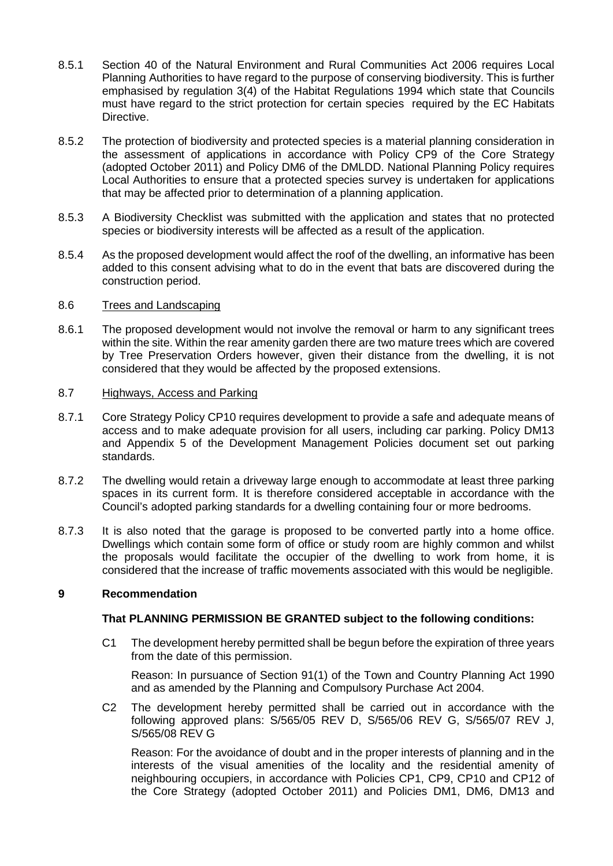- 8.5.1 Section 40 of the Natural Environment and Rural Communities Act 2006 requires Local Planning Authorities to have regard to the purpose of conserving biodiversity. This is further emphasised by regulation 3(4) of the Habitat Regulations 1994 which state that Councils must have regard to the strict protection for certain species required by the EC Habitats Directive.
- 8.5.2 The protection of biodiversity and protected species is a material planning consideration in the assessment of applications in accordance with Policy CP9 of the Core Strategy (adopted October 2011) and Policy DM6 of the DMLDD. National Planning Policy requires Local Authorities to ensure that a protected species survey is undertaken for applications that may be affected prior to determination of a planning application.
- 8.5.3 A Biodiversity Checklist was submitted with the application and states that no protected species or biodiversity interests will be affected as a result of the application.
- 8.5.4 As the proposed development would affect the roof of the dwelling, an informative has been added to this consent advising what to do in the event that bats are discovered during the construction period.

## 8.6 Trees and Landscaping

8.6.1 The proposed development would not involve the removal or harm to any significant trees within the site. Within the rear amenity garden there are two mature trees which are covered by Tree Preservation Orders however, given their distance from the dwelling, it is not considered that they would be affected by the proposed extensions.

## 8.7 Highways, Access and Parking

- 8.7.1 Core Strategy Policy CP10 requires development to provide a safe and adequate means of access and to make adequate provision for all users, including car parking. Policy DM13 and Appendix 5 of the Development Management Policies document set out parking standards.
- 8.7.2 The dwelling would retain a driveway large enough to accommodate at least three parking spaces in its current form. It is therefore considered acceptable in accordance with the Council's adopted parking standards for a dwelling containing four or more bedrooms.
- 8.7.3 It is also noted that the garage is proposed to be converted partly into a home office. Dwellings which contain some form of office or study room are highly common and whilst the proposals would facilitate the occupier of the dwelling to work from home, it is considered that the increase of traffic movements associated with this would be negligible.

## **9 Recommendation**

## **That PLANNING PERMISSION BE GRANTED subject to the following conditions:**

C1 The development hereby permitted shall be begun before the expiration of three years from the date of this permission.

Reason: In pursuance of Section 91(1) of the Town and Country Planning Act 1990 and as amended by the Planning and Compulsory Purchase Act 2004.

C2 The development hereby permitted shall be carried out in accordance with the following approved plans: S/565/05 REV D, S/565/06 REV G, S/565/07 REV J, S/565/08 REV G

Reason: For the avoidance of doubt and in the proper interests of planning and in the interests of the visual amenities of the locality and the residential amenity of neighbouring occupiers, in accordance with Policies CP1, CP9, CP10 and CP12 of the Core Strategy (adopted October 2011) and Policies DM1, DM6, DM13 and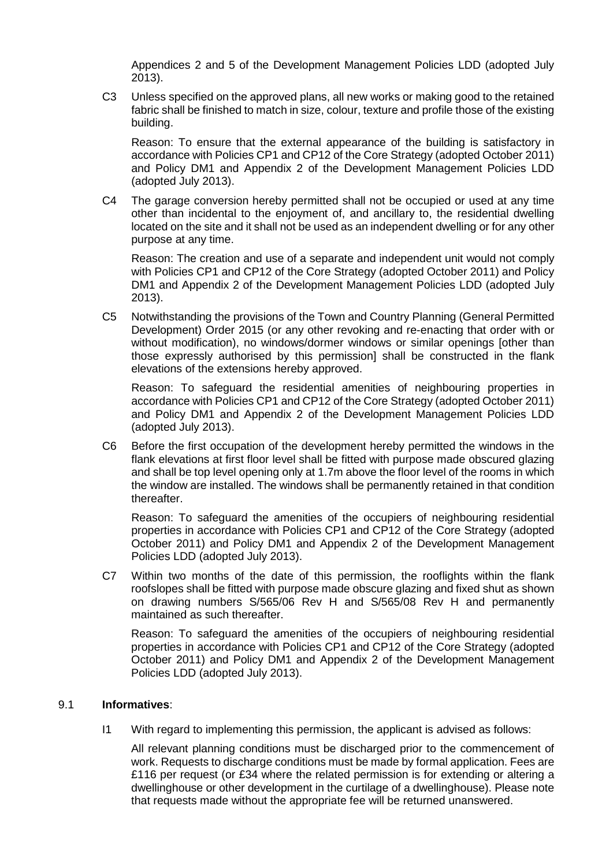Appendices 2 and 5 of the Development Management Policies LDD (adopted July 2013).

C3 Unless specified on the approved plans, all new works or making good to the retained fabric shall be finished to match in size, colour, texture and profile those of the existing building.

Reason: To ensure that the external appearance of the building is satisfactory in accordance with Policies CP1 and CP12 of the Core Strategy (adopted October 2011) and Policy DM1 and Appendix 2 of the Development Management Policies LDD (adopted July 2013).

C4 The garage conversion hereby permitted shall not be occupied or used at any time other than incidental to the enjoyment of, and ancillary to, the residential dwelling located on the site and it shall not be used as an independent dwelling or for any other purpose at any time.

Reason: The creation and use of a separate and independent unit would not comply with Policies CP1 and CP12 of the Core Strategy (adopted October 2011) and Policy DM1 and Appendix 2 of the Development Management Policies LDD (adopted July 2013).

C5 Notwithstanding the provisions of the Town and Country Planning (General Permitted Development) Order 2015 (or any other revoking and re-enacting that order with or without modification), no windows/dormer windows or similar openings [other than those expressly authorised by this permission] shall be constructed in the flank elevations of the extensions hereby approved.

Reason: To safeguard the residential amenities of neighbouring properties in accordance with Policies CP1 and CP12 of the Core Strategy (adopted October 2011) and Policy DM1 and Appendix 2 of the Development Management Policies LDD (adopted July 2013).

C6 Before the first occupation of the development hereby permitted the windows in the flank elevations at first floor level shall be fitted with purpose made obscured glazing and shall be top level opening only at 1.7m above the floor level of the rooms in which the window are installed. The windows shall be permanently retained in that condition thereafter.

Reason: To safeguard the amenities of the occupiers of neighbouring residential properties in accordance with Policies CP1 and CP12 of the Core Strategy (adopted October 2011) and Policy DM1 and Appendix 2 of the Development Management Policies LDD (adopted July 2013).

C7 Within two months of the date of this permission, the rooflights within the flank roofslopes shall be fitted with purpose made obscure glazing and fixed shut as shown on drawing numbers S/565/06 Rev H and S/565/08 Rev H and permanently maintained as such thereafter.

Reason: To safeguard the amenities of the occupiers of neighbouring residential properties in accordance with Policies CP1 and CP12 of the Core Strategy (adopted October 2011) and Policy DM1 and Appendix 2 of the Development Management Policies LDD (adopted July 2013).

## 9.1 **Informatives**:

I1 With regard to implementing this permission, the applicant is advised as follows:

All relevant planning conditions must be discharged prior to the commencement of work. Requests to discharge conditions must be made by formal application. Fees are £116 per request (or £34 where the related permission is for extending or altering a dwellinghouse or other development in the curtilage of a dwellinghouse). Please note that requests made without the appropriate fee will be returned unanswered.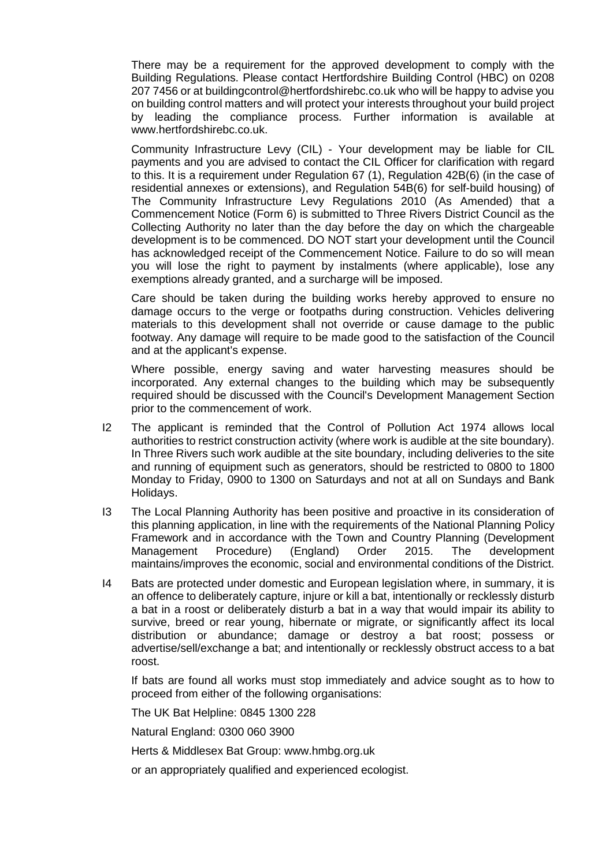There may be a requirement for the approved development to comply with the Building Regulations. Please contact Hertfordshire Building Control (HBC) on 0208 207 7456 or at buildingcontrol@hertfordshirebc.co.uk who will be happy to advise you on building control matters and will protect your interests throughout your build project by leading the compliance process. Further information is available at www.hertfordshirebc.co.uk.

Community Infrastructure Levy (CIL) - Your development may be liable for CIL payments and you are advised to contact the CIL Officer for clarification with regard to this. It is a requirement under Regulation 67 (1), Regulation 42B(6) (in the case of residential annexes or extensions), and Regulation 54B(6) for self-build housing) of The Community Infrastructure Levy Regulations 2010 (As Amended) that a Commencement Notice (Form 6) is submitted to Three Rivers District Council as the Collecting Authority no later than the day before the day on which the chargeable development is to be commenced. DO NOT start your development until the Council has acknowledged receipt of the Commencement Notice. Failure to do so will mean you will lose the right to payment by instalments (where applicable), lose any exemptions already granted, and a surcharge will be imposed.

Care should be taken during the building works hereby approved to ensure no damage occurs to the verge or footpaths during construction. Vehicles delivering materials to this development shall not override or cause damage to the public footway. Any damage will require to be made good to the satisfaction of the Council and at the applicant's expense.

Where possible, energy saving and water harvesting measures should be incorporated. Any external changes to the building which may be subsequently required should be discussed with the Council's Development Management Section prior to the commencement of work.

- I2 The applicant is reminded that the Control of Pollution Act 1974 allows local authorities to restrict construction activity (where work is audible at the site boundary). In Three Rivers such work audible at the site boundary, including deliveries to the site and running of equipment such as generators, should be restricted to 0800 to 1800 Monday to Friday, 0900 to 1300 on Saturdays and not at all on Sundays and Bank Holidays.
- I3 The Local Planning Authority has been positive and proactive in its consideration of this planning application, in line with the requirements of the National Planning Policy Framework and in accordance with the Town and Country Planning (Development Management Procedure) (England) Order 2015. The development maintains/improves the economic, social and environmental conditions of the District.
- I4 Bats are protected under domestic and European legislation where, in summary, it is an offence to deliberately capture, injure or kill a bat, intentionally or recklessly disturb a bat in a roost or deliberately disturb a bat in a way that would impair its ability to survive, breed or rear young, hibernate or migrate, or significantly affect its local distribution or abundance; damage or destroy a bat roost; possess or advertise/sell/exchange a bat; and intentionally or recklessly obstruct access to a bat roost.

If bats are found all works must stop immediately and advice sought as to how to proceed from either of the following organisations:

The UK Bat Helpline: 0845 1300 228

Natural England: 0300 060 3900

Herts & Middlesex Bat Group: www.hmbg.org.uk

or an appropriately qualified and experienced ecologist.